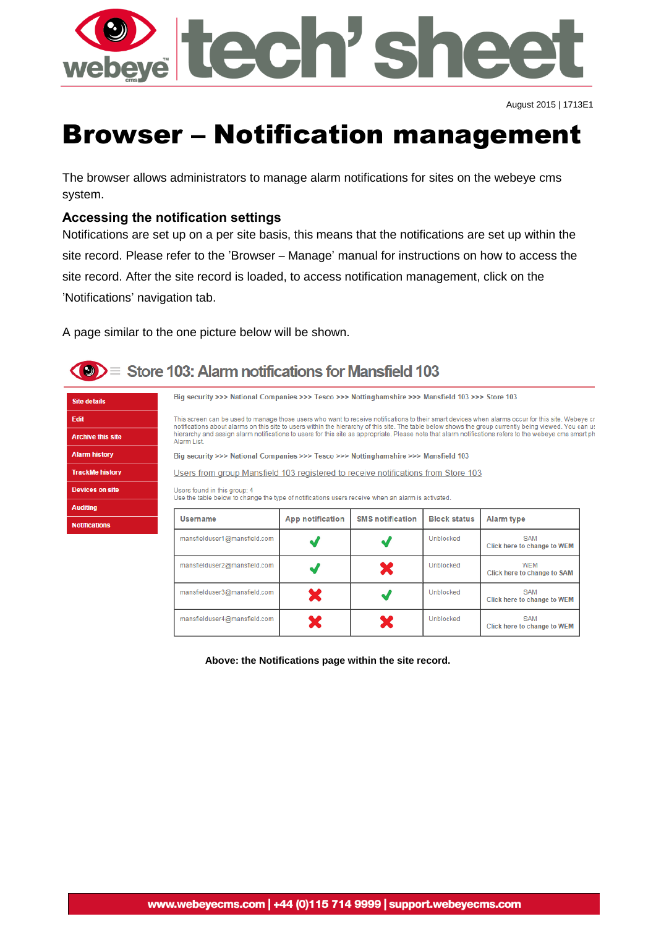

August 2015 | 1713E1

SAM

Click here to change to WEM

Unblocked

X

# Browser – Notification management

The browser allows administrators to manage alarm notifications for sites on the webeye cms system.

## **Accessing the notification settings**

Notifications are set up on a per site basis, this means that the notifications are set up within the site record. Please refer to the 'Browser – Manage' manual for instructions on how to access the site record. After the site record is loaded, to access notification management, click on the 'Notifications' navigation tab.

A page similar to the one picture below will be shown.

mansfielduser4@mansfield.com



Site d Edit

Arch Aları Track **Devic** Audi

**Notif** 

# $\langle \bullet \rangle$  = Store 103: Alarm notifications for Mansfield 103

| <b>tails</b>      | Big security >>> National Companies >>> Tesco >>> Nottinghamshire >>> Mansfield 103 >>> Store 103                                                                                                                                                                                                                                                                                                                                                                                   |                         |                         |                     |                                           |  |  |  |
|-------------------|-------------------------------------------------------------------------------------------------------------------------------------------------------------------------------------------------------------------------------------------------------------------------------------------------------------------------------------------------------------------------------------------------------------------------------------------------------------------------------------|-------------------------|-------------------------|---------------------|-------------------------------------------|--|--|--|
|                   | This screen can be used to manage those users who want to receive notifications to their smart devices when alarms occur for this site. Webeye cr<br>notifications about alarms on this site to users within the hierarchy of this site. The table below shows the group currently being viewed. You can us<br>hierarchy and assign alarm notifications to users for this site as appropriate. Please note that alarm notifications refers to the webeye cms smart ph<br>Alarm List |                         |                         |                     |                                           |  |  |  |
| e this site       |                                                                                                                                                                                                                                                                                                                                                                                                                                                                                     |                         |                         |                     |                                           |  |  |  |
| history           | Big security >>> National Companies >>> Tesco >>> Nottinghamshire >>> Mansfield 103                                                                                                                                                                                                                                                                                                                                                                                                 |                         |                         |                     |                                           |  |  |  |
| <b>Me history</b> | Users from group Mansfield 103 registered to receive notifications from Store 103                                                                                                                                                                                                                                                                                                                                                                                                   |                         |                         |                     |                                           |  |  |  |
| es on site        | Users found in this group: 4                                                                                                                                                                                                                                                                                                                                                                                                                                                        |                         |                         |                     |                                           |  |  |  |
| ١g                | Use the table below to change the type of notifications users receive when an alarm is activated.                                                                                                                                                                                                                                                                                                                                                                                   |                         |                         |                     |                                           |  |  |  |
| ations            | <b>Username</b>                                                                                                                                                                                                                                                                                                                                                                                                                                                                     | <b>App notification</b> | <b>SMS</b> notification | <b>Block status</b> | Alarm type                                |  |  |  |
|                   | mansfielduser1@mansfield.com                                                                                                                                                                                                                                                                                                                                                                                                                                                        |                         |                         | Unblocked           | <b>SAM</b><br>Click here to change to WEM |  |  |  |
|                   | mansfielduser2@mansfield.com                                                                                                                                                                                                                                                                                                                                                                                                                                                        |                         | X                       | Unblocked           | <b>WEM</b><br>Click here to change to SAM |  |  |  |
|                   | mansfielduser3@mansfield.com                                                                                                                                                                                                                                                                                                                                                                                                                                                        |                         |                         | Unblocked           | <b>SAM</b><br>Click here to change to WEM |  |  |  |

**Above: the Notifications page within the site record.**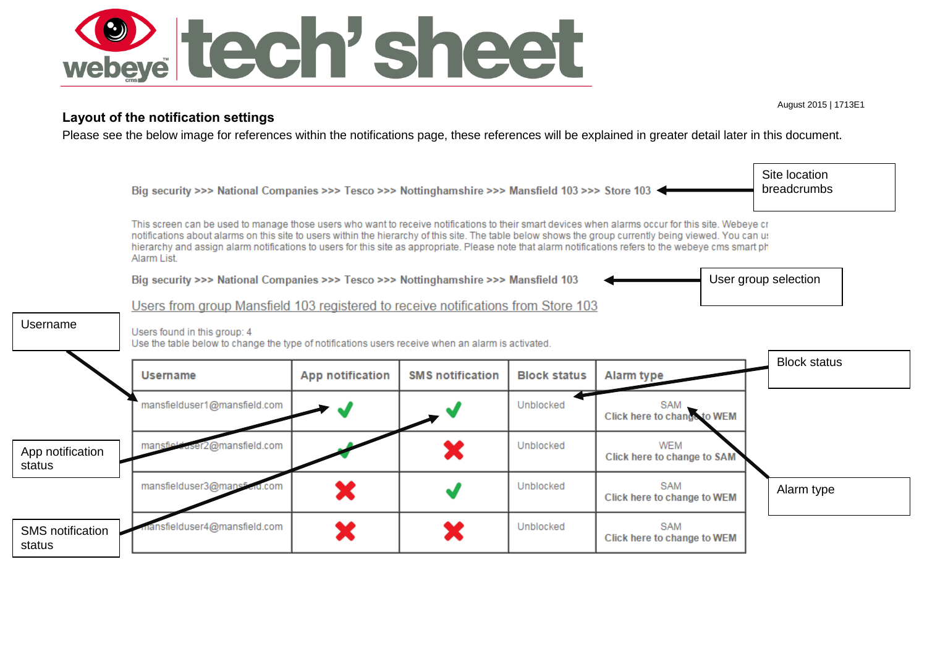

#### **Layout of the notification settings**

Please see the below image for references within the notifications page, these references will be explained in greater detail later in this document.



August 2015 | 1713E1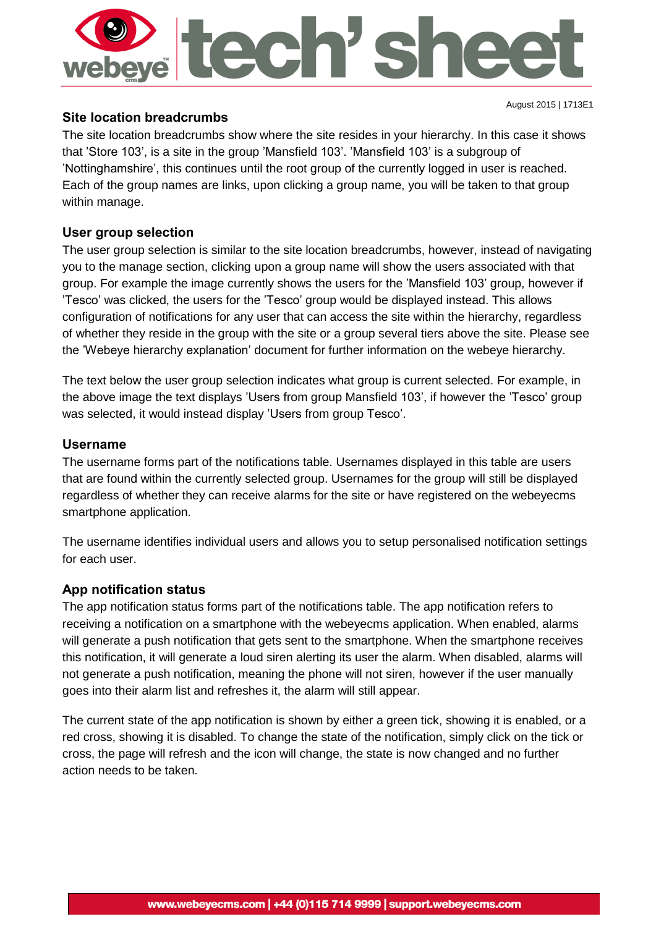

#### **Site location breadcrumbs**

The site location breadcrumbs show where the site resides in your hierarchy. In this case it shows that 'Store 103', is a site in the group 'Mansfield 103'. 'Mansfield 103' is a subgroup of 'Nottinghamshire', this continues until the root group of the currently logged in user is reached. Each of the group names are links, upon clicking a group name, you will be taken to that group within manage.

### **User group selection**

The user group selection is similar to the site location breadcrumbs, however, instead of navigating you to the manage section, clicking upon a group name will show the users associated with that group. For example the image currently shows the users for the 'Mansfield 103' group, however if 'Tesco' was clicked, the users for the 'Tesco' group would be displayed instead. This allows configuration of notifications for any user that can access the site within the hierarchy, regardless of whether they reside in the group with the site or a group several tiers above the site. Please see the 'Webeye hierarchy explanation' document for further information on the webeye hierarchy.

The text below the user group selection indicates what group is current selected. For example, in the above image the text displays 'Users from group Mansfield 103', if however the 'Tesco' group was selected, it would instead display 'Users from group Tesco'.

#### **Username**

The username forms part of the notifications table. Usernames displayed in this table are users that are found within the currently selected group. Usernames for the group will still be displayed regardless of whether they can receive alarms for the site or have registered on the webeyecms smartphone application.

The username identifies individual users and allows you to setup personalised notification settings for each user.

#### **App notification status**

The app notification status forms part of the notifications table. The app notification refers to receiving a notification on a smartphone with the webeyecms application. When enabled, alarms will generate a push notification that gets sent to the smartphone. When the smartphone receives this notification, it will generate a loud siren alerting its user the alarm. When disabled, alarms will not generate a push notification, meaning the phone will not siren, however if the user manually goes into their alarm list and refreshes it, the alarm will still appear.

The current state of the app notification is shown by either a green tick, showing it is enabled, or a red cross, showing it is disabled. To change the state of the notification, simply click on the tick or cross, the page will refresh and the icon will change, the state is now changed and no further action needs to be taken.

August 2015 | 1713E1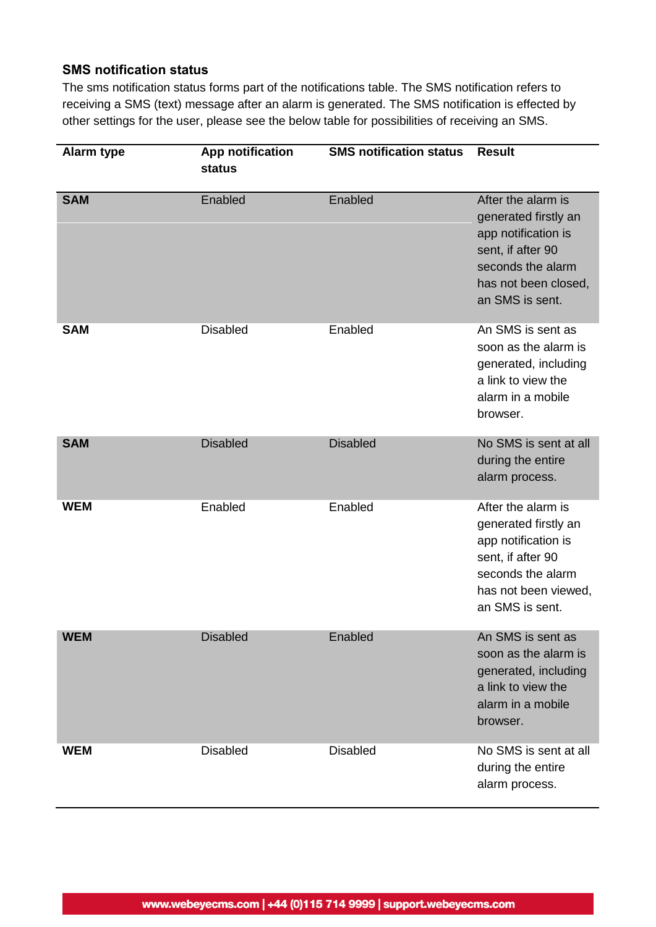#### **SMS notification status**

The sms notification status forms part of the notifications table. The SMS notification refers to receiving a SMS (text) message after an alarm is generated. The SMS notification is effected by other settings for the user, please see the below table for possibilities of receiving an SMS.

| <b>Alarm type</b> | App notification<br>status | <b>SMS notification status</b> | <b>Result</b>                                                                                                                                          |
|-------------------|----------------------------|--------------------------------|--------------------------------------------------------------------------------------------------------------------------------------------------------|
| <b>SAM</b>        | Enabled                    | Enabled                        | After the alarm is<br>generated firstly an<br>app notification is<br>sent, if after 90<br>seconds the alarm<br>has not been closed,<br>an SMS is sent. |
| <b>SAM</b>        | <b>Disabled</b>            | Enabled                        | An SMS is sent as<br>soon as the alarm is<br>generated, including<br>a link to view the<br>alarm in a mobile<br>browser.                               |
| <b>SAM</b>        | <b>Disabled</b>            | <b>Disabled</b>                | No SMS is sent at all<br>during the entire<br>alarm process.                                                                                           |
| <b>WEM</b>        | Enabled                    | Enabled                        | After the alarm is<br>generated firstly an<br>app notification is<br>sent, if after 90<br>seconds the alarm<br>has not been viewed,<br>an SMS is sent. |
| <b>WEM</b>        | <b>Disabled</b>            | Enabled                        | An SMS is sent as<br>soon as the alarm is<br>generated, including<br>a link to view the<br>alarm in a mobile<br>browser.                               |
| <b>WEM</b>        | <b>Disabled</b>            | <b>Disabled</b>                | No SMS is sent at all<br>during the entire<br>alarm process.                                                                                           |